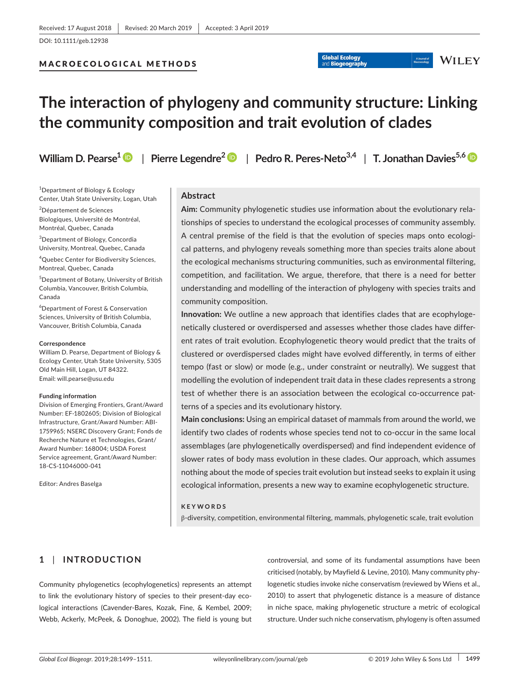## MACROECOLOGICAL METHODS

# **The interaction of phylogeny and community structure: Linking the community composition and trait evolution of clades**

**William D. Pearse[1](https://orcid.org/0000-0002-6241-3164)** | **Pierre Legendre<sup>2</sup>** | **Pedro R. Peres‐Neto3,4** | **T. Jonathan Davies5,[6](https://orcid.org/0000-0003-3318-5948)**

A Journal of

**WILEY** 

**Global Ecology** 

**Biogeograp** 

<sup>1</sup>Department of Biology & Ecology Center, Utah State University, Logan, Utah

2 Département de Sciences Biologiques, Université de Montréal, Montréal, Quebec, Canada

3 Department of Biology, Concordia University, Montreal, Quebec, Canada

4 Quebec Center for Biodiversity Sciences, Montreal, Quebec, Canada

5 Department of Botany, University of British Columbia, Vancouver, British Columbia, Canada

6 Department of Forest & Conservation Sciences, University of British Columbia, Vancouver, British Columbia, Canada

#### **Correspondence**

William D. Pearse, Department of Biology & Ecology Center, Utah State University, 5305 Old Main Hill, Logan, UT 84322. Email: [will.pearse@usu.edu](mailto:will.pearse@usu.edu)

#### **Funding information**

Division of Emerging Frontiers, Grant/Award Number: EF-1802605; Division of Biological Infrastructure, Grant/Award Number: ABI-1759965; NSERC Discovery Grant; Fonds de Recherche Nature et Technologies, Grant/ Award Number: 168004; USDA Forest Service agreement, Grant/Award Number: 18‐CS‐11046000‐041

Editor: Andres Baselga

# **Abstract**

**Aim:** Community phylogenetic studies use information about the evolutionary rela‐ tionships of species to understand the ecological processes of community assembly. A central premise of the field is that the evolution of species maps onto ecologi‐ cal patterns, and phylogeny reveals something more than species traits alone about the ecological mechanisms structuring communities, such as environmental filtering, competition, and facilitation. We argue, therefore, that there is a need for better understanding and modelling of the interaction of phylogeny with species traits and community composition.

**Innovation:** We outline a new approach that identifies clades that are ecophylogenetically clustered or overdispersed and assesses whether those clades have differ‐ ent rates of trait evolution. Ecophylogenetic theory would predict that the traits of clustered or overdispersed clades might have evolved differently, in terms of either tempo (fast or slow) or mode (e.g., under constraint or neutrally). We suggest that modelling the evolution of independent trait data in these clades represents a strong test of whether there is an association between the ecological co-occurrence patterns of a species and its evolutionary history.

**Main conclusions:** Using an empirical dataset of mammals from around the world, we identify two clades of rodents whose species tend not to co-occur in the same local assemblages (are phylogenetically overdispersed) and find independent evidence of slower rates of body mass evolution in these clades. Our approach, which assumes nothing about the mode of species trait evolution but instead seeks to explain it using ecological information, presents a new way to examine ecophylogenetic structure.

#### **KEYWORDS**

β‐diversity, competition, environmental filtering, mammals, phylogenetic scale, trait evolution

# **1** | **INTRODUCTION**

Community phylogenetics (ecophylogenetics) represents an attempt to link the evolutionary history of species to their present‐day eco‐ logical interactions (Cavender‐Bares, Kozak, Fine, & Kembel, 2009; Webb, Ackerly, McPeek, & Donoghue, 2002). The field is young but

controversial, and some of its fundamental assumptions have been criticised (notably, by Mayfield & Levine, 2010). Many community phy‐ logenetic studies invoke niche conservatism (reviewed by Wiens et al., 2010) to assert that phylogenetic distance is a measure of distance in niche space, making phylogenetic structure a metric of ecological structure. Under such niche conservatism, phylogeny is often assumed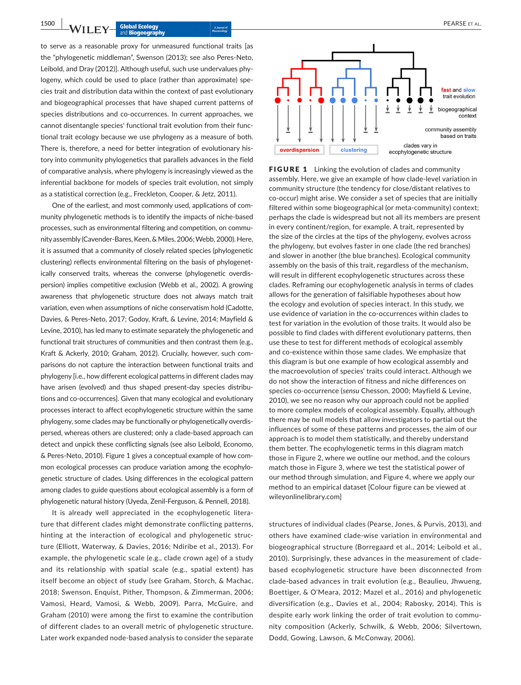to serve as a reasonable proxy for unmeasured functional traits [as the "phylogenetic middleman", Swenson (2013); see also Peres‐Neto, Leibold, and Dray (2012)]. Although useful, such use undervalues phy‐ logeny, which could be used to place (rather than approximate) spe‐ cies trait and distribution data within the context of past evolutionary and biogeographical processes that have shaped current patterns of species distributions and co-occurrences. In current approaches, we cannot disentangle species' functional trait evolution from their func‐ tional trait ecology because we use phylogeny as a measure of both. There is, therefore, a need for better integration of evolutionary his‐ tory into community phylogenetics that parallels advances in the field of comparative analysis, where phylogeny is increasingly viewed as the inferential backbone for models of species trait evolution, not simply as a statistical correction (e.g., Freckleton, Cooper, & Jetz, 2011).

One of the earliest, and most commonly used, applications of com‐ munity phylogenetic methods is to identify the impacts of niche‐based processes, such as environmental filtering and competition, on community assembly (Cavender‐Bares, Keen, & Miles, 2006; Webb, 2000). Here, it is assumed that a community of closely related species (phylogenetic clustering) reflects environmental filtering on the basis of phylogenet‐ ically conserved traits, whereas the converse (phylogenetic overdis‐ persion) implies competitive exclusion (Webb et al., 2002). A growing awareness that phylogenetic structure does not always match trait variation, even when assumptions of niche conservatism hold (Cadotte, Davies, & Peres‐Neto, 2017; Godoy, Kraft, & Levine, 2014; Mayfield & Levine, 2010), has led many to estimate separately the phylogenetic and functional trait structures of communities and then contrast them (e.g., Kraft & Ackerly, 2010; Graham, 2012). Crucially, however, such com‐ parisons do not capture the interaction between functional traits and phylogeny [i.e., how different ecological patterns in different clades may have arisen (evolved) and thus shaped present-day species distributions and co‐occurrences]. Given that many ecological and evolutionary processes interact to affect ecophylogenetic structure within the same phylogeny, some clades may be functionally or phylogenetically overdis‐ persed, whereas others are clustered; only a clade‐based approach can detect and unpick these conflicting signals (see also Leibold, Economo, & Peres‐Neto, 2010). Figure 1 gives a conceptual example of how com‐ mon ecological processes can produce variation among the ecophylogenetic structure of clades. Using differences in the ecological pattern among clades to guide questions about ecological assembly is a form of phylogenetic natural history (Uyeda, Zenil‐Ferguson, & Pennell, 2018).

It is already well appreciated in the ecophylogenetic literature that different clades might demonstrate conflicting patterns, hinting at the interaction of ecological and phylogenetic struc‐ ture (Elliott, Waterway, & Davies, 2016; Ndiribe et al., 2013). For example, the phylogenetic scale (e.g., clade crown age) of a study and its relationship with spatial scale (e.g., spatial extent) has itself become an object of study (see Graham, Storch, & Machac, 2018; Swenson, Enquist, Pither, Thompson, & Zimmerman, 2006; Vamosi, Heard, Vamosi, & Webb, 2009). Parra, McGuire, and Graham (2010) were among the first to examine the contribution of different clades to an overall metric of phylogenetic structure. Later work expanded node‐based analysis to consider the separate



**FIGURE 1** Linking the evolution of clades and community assembly. Here, we give an example of how clade‐level variation in community structure (the tendency for close/distant relatives to co‐occur) might arise. We consider a set of species that are initially filtered within some biogeographical (or meta‐community) context; perhaps the clade is widespread but not all its members are present in every continent/region, for example. A trait, represented by the size of the circles at the tips of the phylogeny, evolves across the phylogeny, but evolves faster in one clade (the red branches) and slower in another (the blue branches). Ecological community assembly on the basis of this trait, regardless of the mechanism, will result in different ecophylogenetic structures across these clades. Reframing our ecophylogenetic analysis in terms of clades allows for the generation of falsifiable hypotheses about how the ecology and evolution of species interact. In this study, we use evidence of variation in the co‐occurrences within clades to test for variation in the evolution of those traits. It would also be possible to find clades with different evolutionary patterns, then use these to test for different methods of ecological assembly and co-existence within those same clades. We emphasize that this diagram is but one example of how ecological assembly and the macroevolution of species' traits could interact. Although we do not show the interaction of fitness and niche differences on species co‐occurrence (*sensu* Chesson, 2000; Mayfield & Levine, 2010), we see no reason why our approach could not be applied to more complex models of ecological assembly. Equally, although there may be null models that allow investigators to partial out the influences of some of these patterns and processes, the aim of our approach is to model them statistically, and thereby understand them better. The ecophylogenetic terms in this diagram match those in Figure 2, where we outline our method, and the colours match those in Figure 3, where we test the statistical power of our method through simulation, and Figure 4, where we apply our method to an empirical dataset [Colour figure can be viewed at [wileyonlinelibrary.com](www.wileyonlinelibrary.com)]

structures of individual clades (Pearse, Jones, & Purvis, 2013), and others have examined clade‐wise variation in environmental and biogeographical structure (Borregaard et al., 2014; Leibold et al., 2010). Surprisingly, these advances in the measurement of clade‐ based ecophylogenetic structure have been disconnected from clade‐based advances in trait evolution (e.g., Beaulieu, Jhwueng, Boettiger, & O'Meara, 2012; Mazel et al., 2016) and phylogenetic diversification (e.g., Davies et al., 2004; Rabosky, 2014). This is despite early work linking the order of trait evolution to commu‐ nity composition (Ackerly, Schwilk, & Webb, 2006; Silvertown, Dodd, Gowing, Lawson, & McConway, 2006).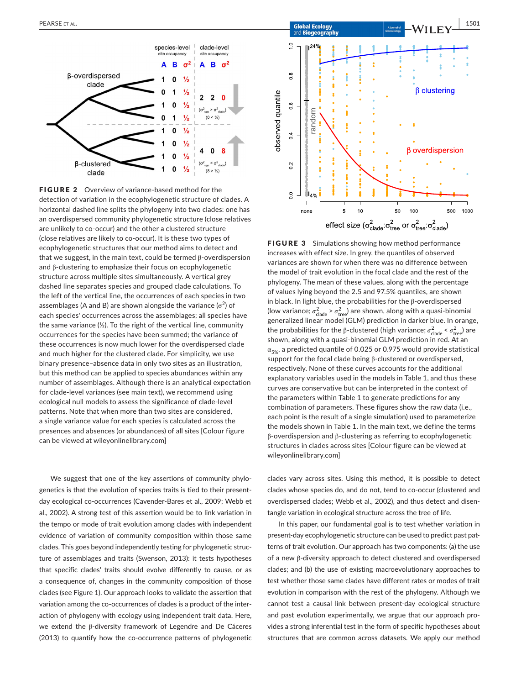

FIGURE 2 Overview of variance-based method for the detection of variation in the ecophylogenetic structure of clades. A horizontal dashed line splits the phylogeny into two clades: one has an overdispersed community phylogenetic structure (close relatives are unlikely to co-occur) and the other a clustered structure (close relatives are likely to co‐occur). It is these two types of ecophylogenetic structures that our method aims to detect and that we suggest, in the main text, could be termed β‐overdispersion and β‐clustering to emphasize their focus on ecophylogenetic structure across multiple sites simultaneously. A vertical grey dashed line separates species and grouped clade calculations. To the left of the vertical line, the occurrences of each species in two assemblages (A and B) are shown alongside the variance ( $\sigma^2$ ) of each species' occurrences across the assemblages; all species have the same variance  $(½)$ . To the right of the vertical line, community occurrences for the species have been summed; the variance of these occurrences is now much lower for the overdispersed clade and much higher for the clustered clade. For simplicity, we use binary presence–absence data in only two sites as an illustration, but this method can be applied to species abundances within any number of assemblages. Although there is an analytical expectation for clade‐level variances (see main text), we recommend using ecological null models to assess the significance of clade‐level patterns. Note that when more than two sites are considered, a single variance value for each species is calculated across the presences and absences (or abundances) of all sites [Colour figure can be viewed at [wileyonlinelibrary.com\]](www.wileyonlinelibrary.com)

We suggest that one of the key assertions of community phylogenetics is that the evolution of species traits is tied to their present‐ day ecological co‐occurrences (Cavender‐Bares et al., 2009; Webb et al., 2002). A strong test of this assertion would be to link variation in the tempo or mode of trait evolution among clades with independent evidence of variation of community composition within those same clades. This goes beyond independently testing for phylogenetic struc‐ ture of assemblages and traits (Swenson, 2013): it tests hypotheses that specific clades' traits should evolve differently to cause, or as a consequence of, changes in the community composition of those clades (see Figure 1). Our approach looks to validate the assertion that variation among the co-occurrences of clades is a product of the interaction of phylogeny with ecology using independent trait data. Here, we extend the β-diversity framework of Legendre and De Cáceres (2013) to quantify how the co-occurrence patterns of phylogenetic



**FIGURE 3** Simulations showing how method performance increases with effect size. In grey, the quantiles of observed variances are shown for when there was no difference between the model of trait evolution in the focal clade and the rest of the phylogeny. The mean of these values, along with the percentage of values lying beyond the 2.5 and 97.5% quantiles, are shown in black. In light blue, the probabilities for the β‐overdispersed (low variance;  $\sigma_{\text{clade}}^2 > \sigma_{\text{tree}}^2$ ) are shown, along with a quasi-binomial generalized linear model (GLM) prediction in darker blue. In orange, the probabilities for the β-clustered (high variance;  $\sigma_{\text{clade}}^2$  <  $\sigma_{\text{tree}}^2$ ) are shown, along with a quasi‐binomial GLM prediction in red. At an  $\alpha_{5\%}$ , a predicted quantile of 0.025 or 0.975 would provide statistical support for the focal clade being β-clustered or overdispersed, respectively. None of these curves accounts for the additional explanatory variables used in the models in Table 1, and thus these curves are conservative but can be interpreted in the context of the parameters within Table 1 to generate predictions for any combination of parameters. These figures show the raw data (i.e., each point is the result of a single simulation) used to parameterize the models shown in Table 1. In the main text, we define the terms β‐overdispersion and β‐clustering as referring to ecophylogenetic structures in clades across sites [Colour figure can be viewed at [wileyonlinelibrary.com\]](www.wileyonlinelibrary.com)

clades vary across sites. Using this method, it is possible to detect clades whose species do, and do not, tend to co‐occur (clustered and overdispersed clades; Webb et al., 2002), and thus detect and disentangle variation in ecological structure across the tree of life.

In this paper, our fundamental goal is to test whether variation in present-day ecophylogenetic structure can be used to predict past patterns of trait evolution. Our approach has two components: (a) the use of a new β‐diversity approach to detect clustered and overdispersed clades; and (b) the use of existing macroevolutionary approaches to test whether those same clades have different rates or modes of trait evolution in comparison with the rest of the phylogeny. Although we cannot test a causal link between present‐day ecological structure and past evolution experimentally, we argue that our approach provides a strong inferential test in the form of specific hypotheses about structures that are common across datasets. We apply our method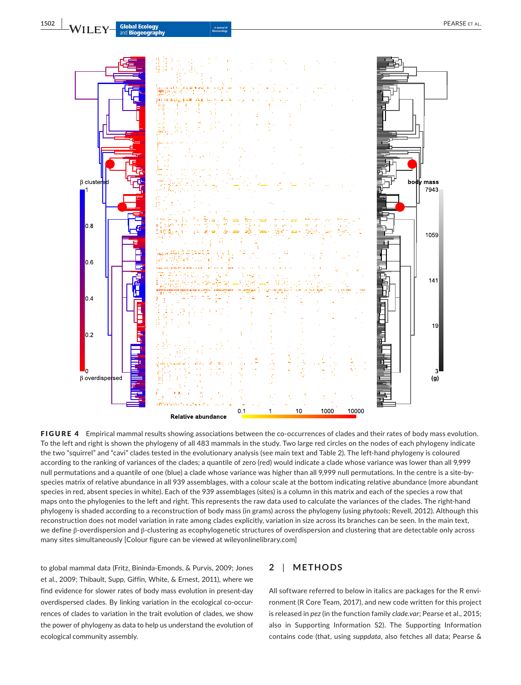

FIGURE 4 Empirical mammal results showing associations between the co-occurrences of clades and their rates of body mass evolution. To the left and right is shown the phylogeny of all 483 mammals in the study. Two large red circles on the nodes of each phylogeny indicate the two "squirrel" and "cavi" clades tested in the evolutionary analysis (see main text and Table 2). The left-hand phylogeny is coloured according to the ranking of variances of the clades; a quantile of zero (red) would indicate a clade whose variance was lower than all 9,999 null permutations and a quantile of one (blue) a clade whose variance was higher than all 9,999 null permutations. In the centre is a site‐by‐ species matrix of relative abundance in all 939 assemblages, with a colour scale at the bottom indicating relative abundance (more abundant species in red, absent species in white). Each of the 939 assemblages (sites) is a column in this matrix and each of the species a row that maps onto the phylogenies to the left and right. This represents the raw data used to calculate the variances of the clades. The right-hand phylogeny is shaded according to a reconstruction of body mass (in grams) across the phylogeny (using *phytools*; Revell, 2012). Although this reconstruction does not model variation in rate among clades explicitly, variation in size across its branches can be seen. In the main text, we define β‐overdispersion and β‐clustering as ecophylogenetic structures of overdispersion and clustering that are detectable only across many sites simultaneously [Colour figure can be viewed at [wileyonlinelibrary.com](www.wileyonlinelibrary.com)]

to global mammal data (Fritz, Bininda‐Emonds, & Purvis, 2009; Jones et al., 2009; Thibault, Supp, Giffin, White, & Ernest, 2011), where we find evidence for slower rates of body mass evolution in present‐day overdispersed clades. By linking variation in the ecological co‐occur‐ rences of clades to variation in the trait evolution of clades, we show the power of phylogeny as data to help us understand the evolution of ecological community assembly.

## **2** | **METHODS**

All software referred to below in italics are packages for the R environment (R Core Team, 2017), and new code written for this project is released in *pez* (in the function family *clade.var*; Pearse et al., 2015; also in Supporting Information S2). The Supporting Information contains code (that, using *suppdata*, also fetches all data; Pearse &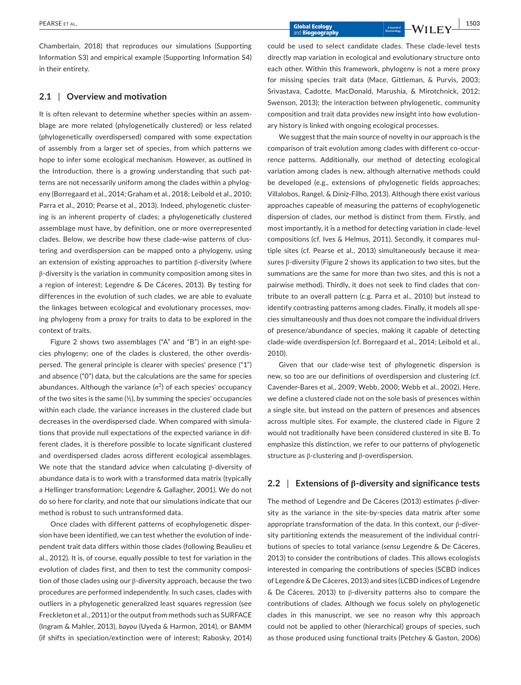Chamberlain, 2018) that reproduces our simulations (Supporting Information S3) and empirical example (Supporting Information S4) in their entirety.

## **2.1** | **Overview and motivation**

It is often relevant to determine whether species within an assemblage are more related (phylogenetically clustered) or less related (phylogenetically overdispersed) compared with some expectation of assembly from a larger set of species, from which patterns we hope to infer some ecological mechanism. However, as outlined in the Introduction, there is a growing understanding that such patterns are not necessarily uniform among the clades within a phylogeny (Borregaard et al., 2014; Graham et al., 2018; Leibold et al., 2010; Parra et al., 2010; Pearse et al., 2013). Indeed, phylogenetic cluster‐ ing is an inherent property of clades; a phylogenetically clustered assemblage must have, by definition, one or more overrepresented clades. Below, we describe how these clade‐wise patterns of clus‐ tering and overdispersion can be mapped onto a phylogeny, using an extension of existing approaches to partition β‐diversity (where β‐diversity is the variation in community composition among sites in a region of interest; Legendre & De Cáceres, 2013). By testing for differences in the evolution of such clades, we are able to evaluate the linkages between ecological and evolutionary processes, moving phylogeny from a proxy for traits to data to be explored in the context of traits.

Figure 2 shows two assemblages ("A" and "B") in an eight‐spe‐ cies phylogeny; one of the clades is clustered, the other overdis‐ persed. The general principle is clearer with species' presence ("1") and absence ("0") data, but the calculations are the same for species abundances. Although the variance (σ $^2$ ) of each species' occupancy of the two sites is the same (½), by summing the species' occupancies within each clade, the variance increases in the clustered clade but decreases in the overdispersed clade. When compared with simula‐ tions that provide null expectations of the expected variance in dif‐ ferent clades, it is therefore possible to locate significant clustered and overdispersed clades across different ecological assemblages. We note that the standard advice when calculating β‐diversity of abundance data is to work with a transformed data matrix (typically a Hellinger transformation; Legendre & Gallagher, 2001). We do not do so here for clarity, and note that our simulations indicate that our method is robust to such untransformed data.

Once clades with different patterns of ecophylogenetic disper‐ sion have been identified, we can test whether the evolution of inde‐ pendent trait data differs within those clades (following Beaulieu et al., 2012). It is, of course, equally possible to test for variation in the evolution of clades first, and then to test the community composi‐ tion of those clades using our β‐diversity approach, because the two procedures are performed independently. In such cases, clades with outliers in a phylogenetic generalized least squares regression (see Freckleton et al., 2011) or the output from methods such as SURFACE (Ingram & Mahler, 2013), *bayou* (Uyeda & Harmon, 2014), or BAMM (if shifts in speciation/extinction were of interest; Rabosky, 2014)

could be used to select candidate clades. These clade‐level tests directly map variation in ecological and evolutionary structure onto each other. Within this framework, phylogeny is not a mere proxy for missing species trait data (Mace, Gittleman, & Purvis, 2003; Srivastava, Cadotte, MacDonald, Marushia, & Mirotchnick, 2012; Swenson, 2013); the interaction between phylogenetic, community composition and trait data provides new insight into how evolution‐ ary history is linked with ongoing ecological processes.

We suggest that the main source of novelty in our approach is the comparison of trait evolution among clades with different co-occurrence patterns. Additionally, our method of detecting ecological variation among clades is new, although alternative methods could be developed (e.g., extensions of phylogenetic fields approaches; Villalobos, Rangel, & Diniz‐Filho, 2013). Although there exist various approaches capeable of measuring the patterns of ecophylogenetic dispersion of clades, our method is distinct from them. Firstly, and most importantly, it is a method for detecting variation in clade‐level compositions (cf. Ives & Helmus, 2011). Secondly, it compares mul‐ tiple sites (cf. Pearse et al., 2013) simultaneously because it mea‐ sures β‐diversity (Figure 2 shows its application to two sites, but the summations are the same for more than two sites, and this is not a pairwise method). Thirdly, it does not seek to find clades that contribute to an overall pattern (c.g. Parra et al., 2010) but instead to identify contrasting patterns among clades. Finally, it models all species simultaneously and thus does not compare the individual drivers of presence/abundance of species, making it capable of detecting clade‐wide overdispersion (cf. Borregaard et al., 2014; Leibold et al., 2010).

Given that our clade‐wise test of phylogenetic dispersion is new, so too are our definitions of overdispersion and clustering (cf. Cavender‐Bares et al., 2009; Webb, 2000; Webb et al., 2002). Here, we define a clustered clade not on the sole basis of presences within a single site, but instead on the pattern of presences and absences across multiple sites. For example, the clustered clade in Figure 2 would not traditionally have been considered clustered in site B. To emphasize this distinction, we refer to our patterns of phylogenetic structure as β‐clustering and β‐overdispersion.

## **2.2** | **Extensions of β‐diversity and significance tests**

The method of Legendre and De Cáceres (2013) estimates β‐diver‐ sity as the variance in the site‐by‐species data matrix after some appropriate transformation of the data. In this context, our β‐diver‐ sity partitioning extends the measurement of the individual contri‐ butions of species to total variance (*sensu* Legendre & De Cáceres, 2013) to consider the contributions of clades. This allows ecologists interested in comparing the contributions of species (SCBD indices of Legendre & De Cáceres, 2013) and sites (LCBD indices of Legendre & De Cáceres, 2013) to β‐diversity patterns also to compare the contributions of clades. Although we focus solely on phylogenetic clades in this manuscript, we see no reason why this approach could not be applied to other (hierarchical) groups of species, such as those produced using functional traits (Petchey & Gaston, 2006)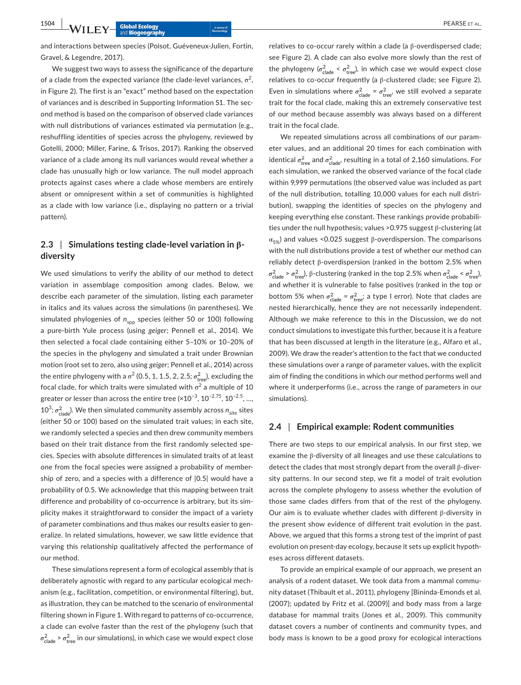**1504 • NVILEY Global Ecology PEARSE ET AL.** 

and interactions between species (Poisot, Guéveneux‐Julien, Fortin, Gravel, & Legendre, 2017).

We suggest two ways to assess the significance of the departure of a clade from the expected variance (the clade-level variances,  $\sigma^2$ , in Figure 2). The first is an "exact" method based on the expectation of variances and is described in Supporting Information S1. The sec‐ ond method is based on the comparison of observed clade variances with null distributions of variances estimated via permutation (e.g., reshuffling identities of species across the phylogeny, reviewed by Gotelli, 2000; Miller, Farine, & Trisos, 2017). Ranking the observed variance of a clade among its null variances would reveal whether a clade has unusually high or low variance. The null model approach protects against cases where a clade whose members are entirely absent or omnipresent within a set of communities is highlighted as a clade with low variance (i.e., displaying no pattern or a trivial pattern).

# **2.3** | **Simulations testing clade‐level variation in β‐ diversity**

We used simulations to verify the ability of our method to detect variation in assemblage composition among clades. Below, we describe each parameter of the simulation, listing each parameter in italics and its values across the simulations (in parentheses). We simulated phylogenies of  $n_{spp}$  species (either 50 or 100) following a pure‐birth Yule process (using *geiger*; Pennell et al., 2014). We then selected a focal clade containing either 5–10% or 10–20% of the species in the phylogeny and simulated a trait under Brownian motion (root set to zero, also using *geiger*; Pennell et al., 2014) across the entire phylogeny with a σ<sup>2</sup> (0.5, 1, 1.5, 2, 2.5;  $\sigma_{\rm tree}^2$ ), excluding the focal clade, for which traits were simulated with  $\sigma^2$  a multiple of 10 greater or lesser than across the entire tree (×10<sup>-3</sup>, 10<sup>-2.75</sup>, 10<sup>-2.5</sup>, ...,  $10^3$ ;  $\sigma_{\text{clade}}^2$ ). We then simulated community assembly across  $n_{\text{site}}$  sites (either 50 or 100) based on the simulated trait values; in each site, we randomly selected a species and then drew community members based on their trait distance from the first randomly selected spe‐ cies. Species with absolute differences in simulated traits of at least one from the focal species were assigned a probability of member‐ ship of zero, and a species with a difference of |0.5| would have a probability of 0.5. We acknowledge that this mapping between trait difference and probability of co-occurrence is arbitrary, but its simplicity makes it straightforward to consider the impact of a variety of parameter combinations and thus makes our results easier to gen‐ eralize. In related simulations, however, we saw little evidence that varying this relationship qualitatively affected the performance of our method.

These simulations represent a form of ecological assembly that is deliberately agnostic with regard to any particular ecological mech‐ anism (e.g., facilitation, competition, or environmental filtering), but, as illustration, they can be matched to the scenario of environmental filtering shown in Figure 1. With regard to patterns of co-occurrence, a clade can evolve faster than the rest of the phylogeny (such that  $\sigma_{\text{clade}}^2 > \sigma_{\text{tree}}^2$  in our simulations), in which case we would expect close relatives to co‐occur rarely within a clade (a β‐overdispersed clade; see Figure 2). A clade can also evolve more slowly than the rest of the phylogeny ( $\sigma_{\text{clade}}^2 < \sigma_{\text{tree}}^2$ ), in which case we would expect close relatives to co‐occur frequently (a β‐clustered clade; see Figure 2). Even in simulations where  $\sigma_{\text{clade}}^2 = \sigma_{\text{tree}}^2$ , we still evolved a separate trait for the focal clade, making this an extremely conservative test of our method because assembly was always based on a different trait in the focal clade.

We repeated simulations across all combinations of our parameter values, and an additional 20 times for each combination with identical  $\sigma^2_{\text{tree}}$  and  $\sigma^2_{\text{clade'}}$  resulting in a total of 2,160 simulations. For each simulation, we ranked the observed variance of the focal clade within 9,999 permutations (the observed value was included as part of the null distribution, totalling 10,000 values for each null distri‐ bution), swapping the identities of species on the phylogeny and keeping everything else constant. These rankings provide probabili‐ ties under the null hypothesis; values > 0.975 suggest β-clustering (at  $\alpha_{5\%}$ ) and values <0.025 suggest β-overdispersion. The comparisons with the null distributions provide a test of whether our method can reliably detect β‐overdispersion (ranked in the bottom 2.5% when  $\sigma_{\text{clade}}^2 > \sigma_{\text{tree}}^2$ ), β-clustering (ranked in the top 2.5% when  $\sigma_{\text{clade}}^2 < \sigma_{\text{tree}}^2$ ), and whether it is vulnerable to false positives (ranked in the top or bottom 5% when  $\sigma_{\text{clade}}^2 = \sigma_{\text{tree}}^2$ ; a type I error). Note that clades are nested hierarchically, hence they are not necessarily independent. Although we make reference to this in the Discussion, we do not conduct simulations to investigate this further, because it is a feature that has been discussed at length in the literature (e.g., Alfaro et al., 2009). We draw the reader's attention to the fact that we conducted these simulations over a range of parameter values, with the explicit aim of finding the conditions in which our method performs well and where it underperforms (i.e., across the range of parameters in our simulations).

## **2.4** | **Empirical example: Rodent communities**

There are two steps to our empirical analysis. In our first step, we examine the β‐diversity of all lineages and use these calculations to detect the clades that most strongly depart from the overall β‐diver‐ sity patterns. In our second step, we fit a model of trait evolution across the complete phylogeny to assess whether the evolution of those same clades differs from that of the rest of the phylogeny. Our aim is to evaluate whether clades with different  $β$ -diversity in the present show evidence of different trait evolution in the past. Above, we argued that this forms a strong test of the imprint of past evolution on present-day ecology, because it sets up explicit hypotheses across different datasets.

To provide an empirical example of our approach, we present an analysis of a rodent dataset. We took data from a mammal community dataset (Thibault et al., 2011), phylogeny [Bininda‐Emonds et al. (2007); updated by Fritz et al. (2009)] and body mass from a large database for mammal traits (Jones et al., 2009). This community dataset covers a number of continents and community types, and body mass is known to be a good proxy for ecological interactions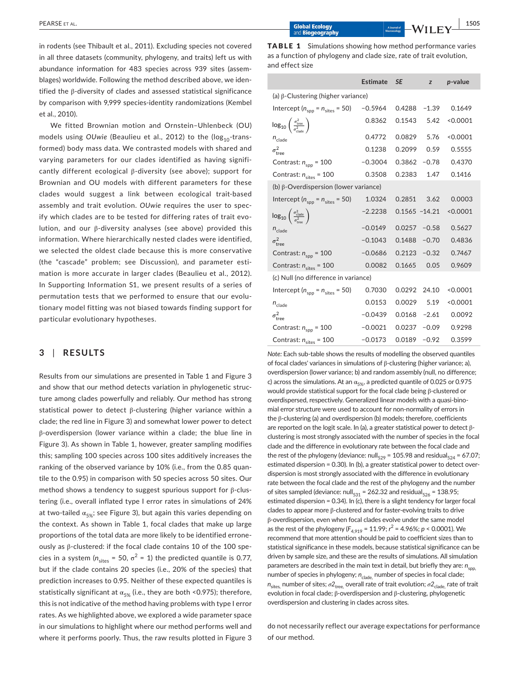in rodents (see Thibault et al., 2011). Excluding species not covered in all three datasets (community, phylogeny, and traits) left us with abundance information for 483 species across 939 sites (assemblages) worldwide. Following the method described above, we iden‐ tified the β-diversity of clades and assessed statistical significance by comparison with 9,999 species‐identity randomizations (Kembel et al., 2010).

We fitted Brownian motion and Ornstein–Uhlenbeck (OU) models using *OUwie* (Beaulieu et al., 2012) to the (log<sub>10</sub>-transformed) body mass data. We contrasted models with shared and varying parameters for our clades identified as having signifi‐ cantly different ecological β‐diversity (see above); support for Brownian and OU models with different parameters for these clades would suggest a link between ecological trait‐based assembly and trait evolution. *OUwie* requires the user to spec‐ ify which clades are to be tested for differing rates of trait evolution, and our β‐diversity analyses (see above) provided this information. Where hierarchically nested clades were identified, we selected the oldest clade because this is more conservative (the "cascade" problem; see Discussion), and parameter esti‐ mation is more accurate in larger clades (Beaulieu et al., 2012). In Supporting Information S1, we present results of a series of permutation tests that we performed to ensure that our evolutionary model fitting was not biased towards finding support for particular evolutionary hypotheses.

## **3** | **RESULTS**

Results from our simulations are presented in Table 1 and Figure 3 and show that our method detects variation in phylogenetic structure among clades powerfully and reliably. Our method has strong statistical power to detect β‐clustering (higher variance within a clade; the red line in Figure 3) and somewhat lower power to detect β‐overdispersion (lower variance within a clade; the blue line in Figure 3). As shown in Table 1, however, greater sampling modifies this; sampling 100 species across 100 sites additively increases the ranking of the observed variance by 10% (i.e., from the 0.85 quan‐ tile to the 0.95) in comparison with 50 species across 50 sites. Our method shows a tendency to suggest spurious support for β‐clus‐ tering (i.e., overall inflated type I error rates in simulations of 24% at two-tailed  $\alpha_{5\%}$ ; see Figure 3), but again this varies depending on the context. As shown in Table 1, focal clades that make up large proportions of the total data are more likely to be identified errone‐ ously as β‐clustered: if the focal clade contains 10 of the 100 spe‐ cies in a system ( $n_{\text{sites}} = 50$ ,  $\sigma^2 = 1$ ) the predicted quantile is 0.77, but if the clade contains 20 species (i.e., 20% of the species) that prediction increases to 0.95. Neither of these expected quantiles is statistically significant at  $\alpha_{5\%}$  (i.e., they are both <0.975); therefore, this is not indicative of the method having problems with type I error rates. As we highlighted above, we explored a wide parameter space in our simulations to highlight where our method performs well and where it performs poorly. Thus, the raw results plotted in Figure 3

|                 | <b>TABLE 1</b> Simulations showing how method performance varies    |
|-----------------|---------------------------------------------------------------------|
|                 | as a function of phylogeny and clade size, rate of trait evolution, |
| and effect size |                                                                     |

|                                                                                    | <b>Estimate</b> | <b>SE</b>        | z       | $p$ -value |  |  |  |
|------------------------------------------------------------------------------------|-----------------|------------------|---------|------------|--|--|--|
| (a) $\beta$ -Clustering (higher variance)                                          |                 |                  |         |            |  |  |  |
| Intercept ( $n_{\rm spp}$ = $n_{\rm sites}$ = 50)                                  | $-0.5964$       | 0.4288           | $-1.39$ | 0.1649     |  |  |  |
| $\log_{10}\left(\frac{\sigma_{\mathrm{tree}}^2}{\sigma_{\mathrm{clade}}^2}\right)$ | 0.8362          | 0.1543           | 5.42    | < 0.0001   |  |  |  |
| $n_{\text{clade}}$                                                                 | 0.4772          | 0.0829           | 5.76    | < 0.0001   |  |  |  |
| $\sigma_{\text{tree}}^2$                                                           | 0.1238          | 0.2099           | 0.59    | 0.5555     |  |  |  |
| Contrast: $n_{\text{spp}}$ = 100                                                   | $-0.3004$       | 0.3862           | $-0.78$ | 0.4370     |  |  |  |
| Contrast: $n_{\text{sites}} = 100$                                                 | 0.3508          | 0.2383           | 1.47    | 0.1416     |  |  |  |
| (b) $\beta$ -Overdispersion (lower variance)                                       |                 |                  |         |            |  |  |  |
| Intercept ( $n_{\text{spp}} = n_{\text{sites}} = 50$ )                             | 1.0324          | 0.2851           | 3.62    | 0.0003     |  |  |  |
| $\log_{10}\left(\frac{\sigma_{\text{clade}}^2}{\sigma_{\text{tree}}^2}\right)$     | $-2.2238$       | $0.1565 - 14.21$ |         | < 0.0001   |  |  |  |
| $n_{\text{clade}}$                                                                 | $-0.0149$       | $0.0257 - 0.58$  |         | 0.5627     |  |  |  |
| $\sigma_{\text{tree}}^2$                                                           | $-0.1043$       | 0.1488           | $-0.70$ | 0.4836     |  |  |  |
| Contrast: $n_{\text{spp}}$ = 100                                                   | $-0.0686$       | 0.2123           | $-0.32$ | 0.7467     |  |  |  |
| Contrast: $n_{\text{sites}} = 100$                                                 | 0.0082          | 0.1665           | 0.05    | 0.9609     |  |  |  |
| (c) Null (no difference in variance)                                               |                 |                  |         |            |  |  |  |
| Intercept ( $n_{\rm spp}$ = $n_{\rm sites}$ = 50)                                  | 0.7030          | 0.0292           | 24.10   | < 0.0001   |  |  |  |
| $n_{\text{clade}}$                                                                 | 0.0153          | 0.0029           | 5.19    | < 0.0001   |  |  |  |
| $\sigma_{\text{tree}}^2$                                                           | $-0.0439$       | $0.0168 - 2.61$  |         | 0.0092     |  |  |  |
| Contrast: $n_{\text{spp}}$ = 100                                                   | $-0.0021$       | 0.0237           | $-0.09$ | 0.9298     |  |  |  |
| Contrast: $n_{\text{sites}} = 100$                                                 | $-0.0173$       | 0.0189           | $-0.92$ | 0.3599     |  |  |  |

*Note:* Each sub-table shows the results of modelling the observed quantiles of focal clades' variances in simulations of β‐clustering (higher variance; a), overdispersion (lower variance; b) and random assembly (null, no difference; c) across the simulations. At an  $\alpha_{5\%}$ , a predicted quantile of 0.025 or 0.975 would provide statistical support for the focal clade being β‐clustered or overdispersed, respectively. Generalized linear models with a quasi‐bino‐ mial error structure were used to account for non‐normality of errors in the β‐clustering (a) and overdispersion (b) models; therefore, coefficients are reported on the logit scale. In (a), a greater statistical power to detect β‐ clustering is most strongly associated with the number of species in the focal clade and the difference in evolutionary rate between the focal clade and the rest of the phylogeny (deviance: null<sub>529</sub> = 105.98 and residual<sub>524</sub> = 67.07; estimated dispersion = 0.30). In (b), a greater statistical power to detect over‐ dispersion is most strongly associated with the difference in evolutionary rate between the focal clade and the rest of the phylogeny and the number of sites sampled (deviance: null<sub>531</sub> = 262.32 and residual<sub>526</sub> = 138.95; estimated dispersion = 0.34). In (c), there is a slight tendency for larger focal clades to appear more β‐clustered and for faster‐evolving traits to drive β‐overdispersion, even when focal clades evolve under the same model as the rest of the phylogeny ( $F_{4,919}$  = 11.99;  $r^2$  = 4.96%;  $p < 0.0001$ ). We recommend that more attention should be paid to coefficient sizes than to statistical significance in these models, because statistical significance can be driven by sample size, and these are the results of simulations. All simulation parameters are described in the main text in detail, but briefly they are:  $n_{\text{spp,}}$ number of species in phylogeny;  $n_{\rm clade,}$  number of species in focal clade;  $n_{\rm sites,}$  number of sites;  $\sigma\!2_{\rm tree,}$  overall rate of trait evolution;  $\sigma\!2_{\rm clade,}$  rate of trait evolution in focal clade; β‐overdispersion and β‐clustering, phylogenetic overdispersion and clustering in clades across sites.

do not necessarily reflect our average expectations for performance of our method.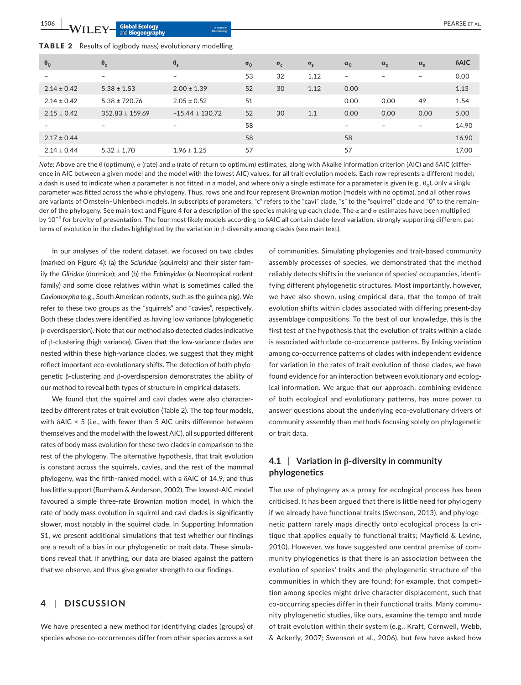| TABLE 2 Results of log(body mass) evolutionary modelling |  |
|----------------------------------------------------------|--|
|----------------------------------------------------------|--|

| $\theta_0$      | $\theta_c$          | $\theta_{\rm s}$         | $\sigma_0$ | $\sigma_c$ | $\sigma_{s}$ | $\alpha_0$               | $\alpha_c$               | $\alpha_{\rm s}$         | $\delta$ AIC |
|-----------------|---------------------|--------------------------|------------|------------|--------------|--------------------------|--------------------------|--------------------------|--------------|
| $\qquad \qquad$ | $\qquad \qquad -$   | -                        | 53         | 32         | 1.12         | $\overline{\phantom{0}}$ | $\overline{\phantom{a}}$ | $\overline{\phantom{a}}$ | 0.00         |
| $2.14 \pm 0.42$ | $5.38 \pm 1.53$     | $2.00 \pm 1.39$          | 52         | 30         | 1.12         | 0.00                     |                          |                          | 1.13         |
| $2.14 \pm 0.42$ | $5.38 \pm 720.76$   | $2.05 \pm 0.52$          | 51         |            |              | 0.00                     | 0.00                     | 49                       | 1.54         |
| $2.15 \pm 0.42$ | $352.83 \pm 159.69$ | $-15.44 \pm 130.72$      | 52         | 30         | 1.1          | 0.00                     | 0.00                     | 0.00                     | 5.00         |
|                 | ۰                   | $\overline{\phantom{m}}$ | 58         |            |              | -                        | $\overline{\phantom{a}}$ | $\overline{\phantom{0}}$ | 14.90        |
| $2.17 \pm 0.44$ |                     |                          | 58         |            |              | 58                       |                          |                          | 16.90        |
| $2.14 \pm 0.44$ | $5.32 \pm 1.70$     | $1.96 \pm 1.25$          | 57         |            |              | 57                       |                          |                          | 17.00        |

*Note:* Above are the θ (optimum), σ (rate) and α (rate of return to optimum) estimates, along with Akaike information criterion (AIC) and δAIC (difference in AIC between a given model and the model with the lowest AIC) values, for all trait evolution models. Each row represents a different model; a dash is used to indicate when a parameter is not fitted in a model, and where only a single estimate for a parameter is given (e.g.,  $\theta_0$ ), only a single parameter was fitted across the whole phylogeny. Thus, rows one and four represent Brownian motion (models with no optima), and all other rows are variants of Ornstein–Uhlenbeck models. In subscripts of parameters, "c" refers to the "cavi" clade, "s" to the "squirrel" clade and "0" to the remainder of the phylogeny. See main text and Figure 4 for a description of the species making up each clade. The α and σ estimates have been multiplied by 10<sup>−4</sup> for brevity of presentation. The four most likely models according to δAIC all contain clade-level variation, strongly supporting different patterns of evolution in the clades highlighted by the variation in β‐diversity among clades (see main text).

In our analyses of the rodent dataset, we focused on two clades (marked on Figure 4): (a) the *Sciuridae* (squirrels) and their sister fam‐ ily the *Gliridae* (dormice); and (b) the *Echimyidae* (a Neotropical rodent family) and some close relatives within what is sometimes called the *Caviomorpha* (e.g., South American rodents, such as the guinea pig). We refer to these two groups as the "squirrels" and "cavies", respectively. Both these clades were identified as having low variance (phylogenetic β‐overdispersion). Note that our method also detected clades indicative of β-clustering (high variance). Given that the low-variance clades are nested within these high‐variance clades, we suggest that they might reflect important eco-evolutionary shifts. The detection of both phylogenetic β‐clustering and β‐overdispersion demonstrates the ability of our method to reveal both types of structure in empirical datasets.

We found that the squirrel and cavi clades were also characterized by different rates of trait evolution (Table 2). The top four models, with δAIC < 5 (i.e., with fewer than 5 AIC units difference between themselves and the model with the lowest AIC), all supported different rates of body mass evolution for these two clades in comparison to the rest of the phylogeny. The alternative hypothesis, that trait evolution is constant across the squirrels, cavies, and the rest of the mammal phylogeny, was the fifth‐ranked model, with a δAIC of 14.9, and thus has little support (Burnham & Anderson, 2002). The lowest‐AIC model favoured a simple three‐rate Brownian motion model, in which the rate of body mass evolution in squirrel and cavi clades is significantly slower, most notably in the squirrel clade. In Supporting Information S1, we present additional simulations that test whether our findings are a result of a bias in our phylogenetic or trait data. These simula‐ tions reveal that, if anything, our data are biased against the pattern that we observe, and thus give greater strength to our findings.

## **4** | **DISCUSSION**

We have presented a new method for identifying clades (groups) of species whose co-occurrences differ from other species across a set of communities. Simulating phylogenies and trait‐based community assembly processes of species, we demonstrated that the method reliably detects shifts in the variance of species' occupancies, identi‐ fying different phylogenetic structures. Most importantly, however, we have also shown, using empirical data, that the tempo of trait evolution shifts within clades associated with differing present‐day assemblage compositions. To the best of our knowledge, this is the first test of the hypothesis that the evolution of traits within a clade is associated with clade co-occurrence patterns. By linking variation among co‐occurrence patterns of clades with independent evidence for variation in the rates of trait evolution of those clades, we have found evidence for an interaction between evolutionary and ecological information. We argue that our approach, combining evidence of both ecological and evolutionary patterns, has more power to answer questions about the underlying eco-evolutionary drivers of community assembly than methods focusing solely on phylogenetic or trait data.

# **4.1** | **Variation in β‐diversity in community phylogenetics**

The use of phylogeny as a proxy for ecological process has been criticised. It has been argued that there is little need for phylogeny if we already have functional traits (Swenson, 2013), and phyloge‐ netic pattern rarely maps directly onto ecological process (a cri‐ tique that applies equally to functional traits; Mayfield & Levine, 2010). However, we have suggested one central premise of com‐ munity phylogenetics is that there is an association between the evolution of species' traits and the phylogenetic structure of the communities in which they are found; for example, that competi‐ tion among species might drive character displacement, such that co-occurring species differ in their functional traits. Many community phylogenetic studies, like ours, examine the tempo and mode of trait evolution within their system (e.g., Kraft, Cornwell, Webb, & Ackerly, 2007; Swenson et al., 2006), but few have asked how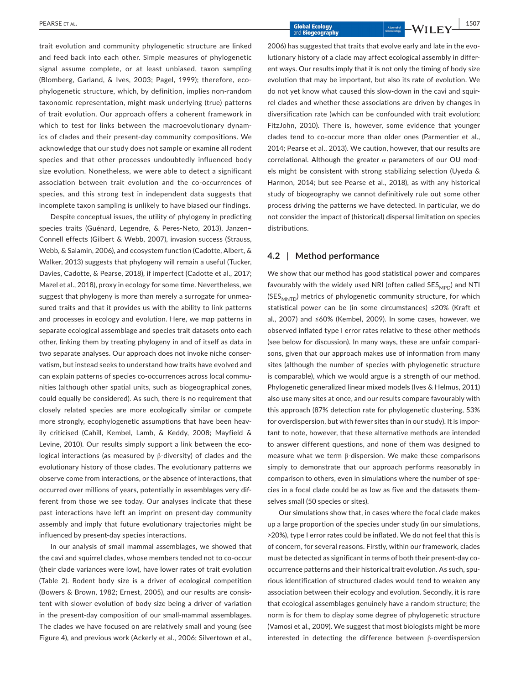trait evolution and community phylogenetic structure are linked and feed back into each other. Simple measures of phylogenetic signal assume complete, or at least unbiased, taxon sampling (Blomberg, Garland, & Ives, 2003; Pagel, 1999); therefore, eco‐ phylogenetic structure, which, by definition, implies non‐random taxonomic representation, might mask underlying (true) patterns of trait evolution. Our approach offers a coherent framework in which to test for links between the macroevolutionary dynamics of clades and their present‐day community compositions. We acknowledge that our study does not sample or examine all rodent species and that other processes undoubtedly influenced body size evolution. Nonetheless, we were able to detect a significant association between trait evolution and the co‐occurrences of species, and this strong test in independent data suggests that incomplete taxon sampling is unlikely to have biased our findings.

Despite conceptual issues, the utility of phylogeny in predicting species traits (Guénard, Legendre, & Peres‐Neto, 2013), Janzen– Connell effects (Gilbert & Webb, 2007), invasion success (Strauss, Webb, & Salamin, 2006), and ecosystem function (Cadotte, Albert, & Walker, 2013) suggests that phylogeny will remain a useful (Tucker, Davies, Cadotte, & Pearse, 2018), if imperfect (Cadotte et al., 2017; Mazel et al., 2018), proxy in ecology for some time. Nevertheless, we suggest that phylogeny is more than merely a surrogate for unmea‐ sured traits and that it provides us with the ability to link patterns and processes in ecology and evolution. Here, we map patterns in separate ecological assemblage and species trait datasets onto each other, linking them by treating phylogeny in and of itself as data in two separate analyses. Our approach does not invoke niche conser‐ vatism, but instead seeks to understand how traits have evolved and can explain patterns of species co-occurrences across local communities (although other spatial units, such as biogeographical zones, could equally be considered). As such, there is no requirement that closely related species are more ecologically similar or compete more strongly, ecophylogenetic assumptions that have been heavily criticised (Cahill, Kembel, Lamb, & Keddy, 2008; Mayfield & Levine, 2010). Our results simply support a link between the ecological interactions (as measured by β‐diversity) of clades and the evolutionary history of those clades. The evolutionary patterns we observe come from interactions, or the absence of interactions, that occurred over millions of years, potentially in assemblages very dif‐ ferent from those we see today. Our analyses indicate that these past interactions have left an imprint on present-day community assembly and imply that future evolutionary trajectories might be influenced by present‐day species interactions.

In our analysis of small mammal assemblages, we showed that the cavi and squirrel clades, whose members tended not to co‐occur (their clade variances were low), have lower rates of trait evolution (Table 2). Rodent body size is a driver of ecological competition (Bowers & Brown, 1982; Ernest, 2005), and our results are consis‐ tent with slower evolution of body size being a driver of variation in the present-day composition of our small-mammal assemblages. The clades we have focused on are relatively small and young (see Figure 4), and previous work (Ackerly et al., 2006; Silvertown et al., 2006) has suggested that traits that evolve early and late in the evo‐ lutionary history of a clade may affect ecological assembly in differ‐ ent ways. Our results imply that it is not only the timing of body size evolution that may be important, but also its rate of evolution. We do not yet know what caused this slow‐down in the cavi and squir‐ rel clades and whether these associations are driven by changes in diversification rate (which can be confounded with trait evolution; FitzJohn, 2010). There is, however, some evidence that younger clades tend to co-occur more than older ones (Parmentier et al., 2014; Pearse et al., 2013). We caution, however, that our results are correlational. Although the greater  $\alpha$  parameters of our OU models might be consistent with strong stabilizing selection (Uyeda & Harmon, 2014; but see Pearse et al., 2018), as with any historical study of biogeography we cannot definitively rule out some other process driving the patterns we have detected. In particular, we do not consider the impact of (historical) dispersal limitation on species distributions.

## **4.2** | **Method performance**

We show that our method has good statistical power and compares favourably with the widely used NRI (often called SES<sub>MPD</sub>) and NTI  $(SES<sub>MNTD</sub>)$  metrics of phylogenetic community structure, for which statistical power can be (in some circumstances) ≤20% (Kraft et al., 2007) and ≤60% (Kembel, 2009). In some cases, however, we observed inflated type I error rates relative to these other methods (see below for discussion). In many ways, these are unfair compari‐ sons, given that our approach makes use of information from many sites (although the number of species with phylogenetic structure is comparable), which we would argue is a strength of our method. Phylogenetic generalized linear mixed models (Ives & Helmus, 2011) also use many sites at once, and our results compare favourably with this approach (87% detection rate for phylogenetic clustering, 53% for overdispersion, but with fewer sites than in our study). It is impor‐ tant to note, however, that these alternative methods are intended to answer different questions, and none of them was designed to measure what we term  $β$ -dispersion. We make these comparisons simply to demonstrate that our approach performs reasonably in comparison to others, even in simulations where the number of spe‐ cies in a focal clade could be as low as five and the datasets them‐ selves small (50 species or sites).

Our simulations show that, in cases where the focal clade makes up a large proportion of the species under study (in our simulations, >20%), type I error rates could be inflated. We do not feel that this is of concern, for several reasons. Firstly, within our framework, clades must be detected as significant in terms of both their present-day cooccurrence patterns and their historical trait evolution. As such, spurious identification of structured clades would tend to weaken any association between their ecology and evolution. Secondly, it is rare that ecological assemblages genuinely have a random structure; the norm is for them to display some degree of phylogenetic structure (Vamosi et al., 2009). We suggest that most biologists might be more interested in detecting the difference between β‐overdispersion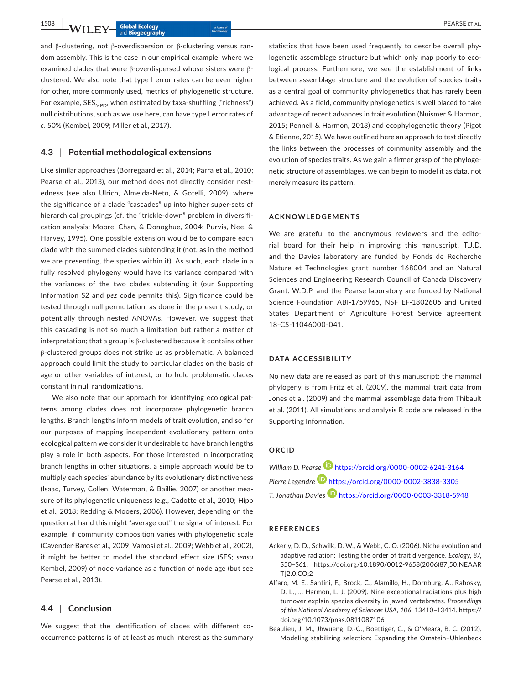and β-clustering, not β-overdispersion or β-clustering versus random assembly. This is the case in our empirical example, where we examined clades that were β‐overdispersed whose sisters were β‐ clustered. We also note that type I error rates can be even higher for other, more commonly used, metrics of phylogenetic structure. For example,  $SES_{MPD}$ , when estimated by taxa-shuffling ("richness") null distributions, such as we use here, can have type I error rates of *c*. 50% (Kembel, 2009; Miller et al., 2017).

## **4.3** | **Potential methodological extensions**

Like similar approaches (Borregaard et al., 2014; Parra et al., 2010; Pearse et al., 2013), our method does not directly consider nestedness (see also Ulrich, Almeida‐Neto, & Gotelli, 2009), where the significance of a clade "cascades" up into higher super‐sets of hierarchical groupings (cf. the "trickle-down" problem in diversification analysis; Moore, Chan, & Donoghue, 2004; Purvis, Nee, & Harvey, 1995). One possible extension would be to compare each clade with the summed clades subtending it (not, as in the method we are presenting, the species within it). As such, each clade in a fully resolved phylogeny would have its variance compared with the variances of the two clades subtending it (our Supporting Information S2 and *pez* code permits this). Significance could be tested through null permutation, as done in the present study, or potentially through nested ANOVAs. However, we suggest that this cascading is not so much a limitation but rather a matter of interpretation; that a group is  $β$ -clustered because it contains other β‐clustered groups does not strike us as problematic. A balanced approach could limit the study to particular clades on the basis of age or other variables of interest, or to hold problematic clades constant in null randomizations.

We also note that our approach for identifying ecological patterns among clades does not incorporate phylogenetic branch lengths. Branch lengths inform models of trait evolution, and so for our purposes of mapping independent evolutionary pattern onto ecological pattern we consider it undesirable to have branch lengths play a role in both aspects. For those interested in incorporating branch lengths in other situations, a simple approach would be to multiply each species' abundance by its evolutionary distinctiveness (Isaac, Turvey, Collen, Waterman, & Baillie, 2007) or another mea‐ sure of its phylogenetic uniqueness (e.g., Cadotte et al., 2010; Hipp et al., 2018; Redding & Mooers, 2006). However, depending on the question at hand this might "average out" the signal of interest. For example, if community composition varies with phylogenetic scale (Cavender‐Bares et al., 2009; Vamosi et al., 2009; Webb et al., 2002), it might be better to model the standard effect size (SES; *sensu* Kembel, 2009) of node variance as a function of node age (but see Pearse et al., 2013).

### **4.4** | **Conclusion**

We suggest that the identification of clades with different cooccurrence patterns is of at least as much interest as the summary

statistics that have been used frequently to describe overall phy‐ logenetic assemblage structure but which only map poorly to eco‐ logical process. Furthermore, we see the establishment of links between assemblage structure and the evolution of species traits as a central goal of community phylogenetics that has rarely been achieved. As a field, community phylogenetics is well placed to take advantage of recent advances in trait evolution (Nuismer & Harmon, 2015; Pennell & Harmon, 2013) and ecophylogenetic theory (Pigot & Etienne, 2015). We have outlined here an approach to test directly the links between the processes of community assembly and the evolution of species traits. As we gain a firmer grasp of the phyloge‐ netic structure of assemblages, we can begin to model it as data, not merely measure its pattern.

#### **ACKNOWLEDGEMENTS**

We are grateful to the anonymous reviewers and the editorial board for their help in improving this manuscript. T.J.D. and the Davies laboratory are funded by Fonds de Recherche Nature et Technologies grant number 168004 and an Natural Sciences and Engineering Research Council of Canada Discovery Grant. W.D.P. and the Pearse laboratory are funded by National Science Foundation ABI‐1759965, NSF EF‐1802605 and United States Department of Agriculture Forest Service agreement 18‐CS‐11046000‐041.

#### **DATA ACCESSIBILITY**

No new data are released as part of this manuscript; the mammal phylogeny is from Fritz et al. (2009), the mammal trait data from Jones et al. (2009) and the mammal assemblage data from Thibault et al. (2011). All simulations and analysis R code are released in the Supporting Information.

### **ORCID**

*William D. Pearse* <https://orcid.org/0000-0002-6241-3164> *Pierre Legendr[e](https://orcid.org/0000-0002-3838-3305)* <https://orcid.org/0000-0002-3838-3305> *T. Jonathan Davies* <https://orcid.org/0000-0003-3318-5948>

#### **REFERENCES**

- Ackerly, D. D., Schwilk, D. W., & Webb, C. O. (2006). Niche evolution and adaptive radiation: Testing the order of trait divergence. *Ecology*, *87*, S50–S61. [https://doi.org/10.1890/0012-9658\(2006\)87\[50:NEAAR](https://doi.org/10.1890/0012-9658(2006)87%5B50:NEAART%5D2.0.CO;2) [T\]2.0.CO;2](https://doi.org/10.1890/0012-9658(2006)87%5B50:NEAART%5D2.0.CO;2)
- Alfaro, M. E., Santini, F., Brock, C., Alamillo, H., Dornburg, A., Rabosky, D. L., … Harmon, L. J. (2009). Nine exceptional radiations plus high turnover explain species diversity in jawed vertebrates. *Proceedings of the National Academy of Sciences USA*, *106*, 13410–13414. [https://](https://doi.org/10.1073/pnas.0811087106) [doi.org/10.1073/pnas.0811087106](https://doi.org/10.1073/pnas.0811087106)
- Beaulieu, J. M., Jhwueng, D.‐C., Boettiger, C., & O'Meara, B. C. (2012). Modeling stabilizing selection: Expanding the Ornstein–Uhlenbeck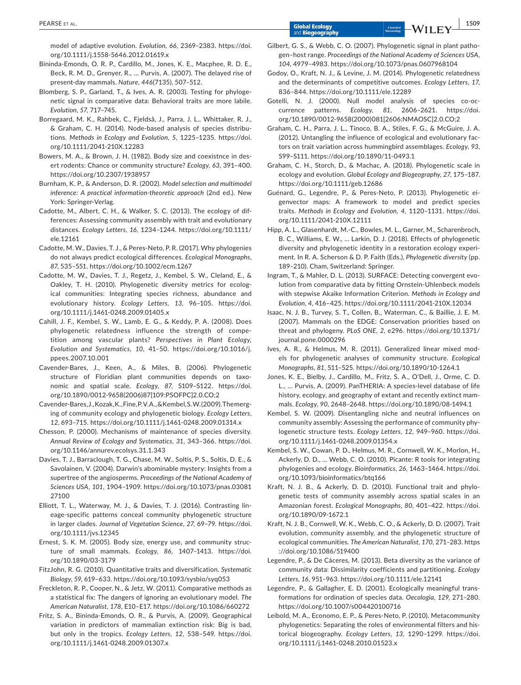model of adaptive evolution. *Evolution*, *66*, 2369–2383. [https://doi.](https://doi.org/10.1111/j.1558-5646.2012.01619.x) [org/10.1111/j.1558-5646.2012.01619.x](https://doi.org/10.1111/j.1558-5646.2012.01619.x)

- Bininda‐Emonds, O. R. P., Cardillo, M., Jones, K. E., Macphee, R. D. E., Beck, R. M. D., Grenyer, R., … Purvis, A. (2007). The delayed rise of present‐day mammals. *Nature*, *446*(7135), 507–512.
- Blomberg, S. P., Garland, T., & Ives, A. R. (2003). Testing for phyloge‐ netic signal in comparative data: Behavioral traits are more labile. *Evolution*, *57*, 717–745.
- Borregaard, M. K., Rahbek, C., Fjeldså, J., Parra, J. L., Whittaker, R. J., & Graham, C. H. (2014). Node‐based analysis of species distribu‐ tions. *Methods in Ecology and Evolution*, *5*, 1225–1235. [https://doi.](https://doi.org/10.1111/2041-210X.12283) [org/10.1111/2041-210X.12283](https://doi.org/10.1111/2041-210X.12283)
- Bowers, M. A., & Brown, J. H. (1982). Body size and coexistnce in des‐ ert rodents: Chance or community structure? *Ecology*, *63*, 391–400. <https://doi.org/10.2307/1938957>
- Burnham, K. P., & Anderson, D. R. (2002). *Model selection and multimodel inference: A practical information‐theoretic approach* (2nd ed.). New York: Springer‐Verlag.
- Cadotte, M., Albert, C. H., & Walker, S. C. (2013). The ecology of dif‐ ferences: Assessing community assembly with trait and evolutionary distances. *Ecology Letters*, *16*, 1234–1244. [https://doi.org/10.1111/](https://doi.org/10.1111/ele.12161) [ele.12161](https://doi.org/10.1111/ele.12161)
- Cadotte, M. W., Davies, T. J., & Peres‐Neto, P. R. (2017). Why phylogenies do not always predict ecological differences. *Ecological Monographs*, *87*, 535–551. <https://doi.org/10.1002/ecm.1267>
- Cadotte, M. W., Davies, T. J., Regetz, J., Kembel, S. W., Cleland, E., & Oakley, T. H. (2010). Phylogenetic diversity metrics for ecological communities: Integrating species richness, abundance and evolutionary history. *Ecology Letters*, *13*, 96–105. [https://doi.](https://doi.org/10.1111/j.1461-0248.2009.01405.x) [org/10.1111/j.1461-0248.2009.01405.x](https://doi.org/10.1111/j.1461-0248.2009.01405.x)
- Cahill, J. F., Kembel, S. W., Lamb, E. G., & Keddy, P. A. (2008). Does phylogenetic relatedness influence the strength of compe‐ tition among vascular plants? *Perspectives in Plant Ecology, Evolution and Systematics*, *10*, 41–50. [https://doi.org/10.1016/j.](https://doi.org/10.1016/j.ppees.2007.10.001) [ppees.2007.10.001](https://doi.org/10.1016/j.ppees.2007.10.001)
- Cavender‐Bares, J., Keen, A., & Miles, B. (2006). Phylogenetic structure of Floridian plant communities depends on taxonomic and spatial scale. *Ecology*, *87*, S109–S122. [https://doi.](https://doi.org/10.1890/0012-9658(2006)87%5B109:PSOFPC%5D2.0.CO;2) [org/10.1890/0012-9658\(2006\)87\[109:PSOFPC\]2.0.CO;2](https://doi.org/10.1890/0012-9658(2006)87%5B109:PSOFPC%5D2.0.CO;2)
- Cavender‐Bares, J., Kozak, K., Fine, P. V. A., & Kembel, S. W. (2009). The merg‐ ing of community ecology and phylogenetic biology. *Ecology Letters*, *12*, 693–715. <https://doi.org/10.1111/j.1461-0248.2009.01314.x>
- Chesson, P. (2000). Mechanisms of maintenance of species diversity. *Annual Review of Ecology and Systematics*, *31*, 343–366. [https://doi.](https://doi.org/10.1146/annurev.ecolsys.31.1.343) [org/10.1146/annurev.ecolsys.31.1.343](https://doi.org/10.1146/annurev.ecolsys.31.1.343)
- Davies, T. J., Barraclough, T. G., Chase, M. W., Soltis, P. S., Soltis, D. E., & Savolainen, V. (2004). Darwin's abominable mystery: Insights from a supertree of the angiosperms. *Proceedings of the National Academy of Sciences USA*, *101*, 1904–1909. [https://doi.org/10.1073/pnas.03081](https://doi.org/10.1073/pnas.0308127100) [27100](https://doi.org/10.1073/pnas.0308127100)
- Elliott, T. L., Waterway, M. J., & Davies, T. J. (2016). Contrasting lin‐ eage‐specific patterns conceal community phylogenetic structure in larger clades. *Journal of Vegetation Science*, *27*, 69–79. [https://doi.](https://doi.org/10.1111/jvs.12345) [org/10.1111/jvs.12345](https://doi.org/10.1111/jvs.12345)
- Ernest, S. K. M. (2005). Body size, energy use, and community struc‐ ture of small mammals. *Ecology*, *86*, 1407–1413. [https://doi.](https://doi.org/10.1890/03-3179) [org/10.1890/03-3179](https://doi.org/10.1890/03-3179)
- FitzJohn, R. G. (2010). Quantitative traits and diversification. *Systematic Biology*, *59*, 619–633. <https://doi.org/10.1093/sysbio/syq053>
- Freckleton, R. P., Cooper, N., & Jetz, W. (2011). Comparative methods as a statistical fix: The dangers of ignoring an evolutionary model. *The American Naturalist*, *178*, E10–E17.<https://doi.org/10.1086/660272>
- Fritz, S. A., Bininda‐Emonds, O. R., & Purvis, A. (2009). Geographical variation in predictors of mammalian extinction risk: Big is bad, but only in the tropics. *Ecology Letters*, *12*, 538–549. [https://doi.](https://doi.org/10.1111/j.1461-0248.2009.01307.x) [org/10.1111/j.1461-0248.2009.01307.x](https://doi.org/10.1111/j.1461-0248.2009.01307.x)
- Gilbert, G. S., & Webb, C. O. (2007). Phylogenetic signal in plant pathogen–host range. *Proceedings of the National Academy of Sciences USA*, *104*, 4979–4983. <https://doi.org/10.1073/pnas.0607968104>
- Godoy, O., Kraft, N. J., & Levine, J. M. (2014). Phylogenetic relatedness and the determinants of competitive outcomes. *Ecology Letters*, *17*, 836–844. <https://doi.org/10.1111/ele.12289>
- Gotelli, N. J. (2000). Null model analysis of species co-occurrence patterns. *Ecology*, *81*, 2606–2621. [https://doi.](https://doi.org/10.1890/0012-9658(2000)081%5B2606:NMAOSC%5D2.0.CO;2) [org/10.1890/0012-9658\(2000\)081\[2606:NMAOSC\]2.0.CO;2](https://doi.org/10.1890/0012-9658(2000)081%5B2606:NMAOSC%5D2.0.CO;2)
- Graham, C. H., Parra, J. L., Tinoco, B. A., Stiles, F. G., & McGuire, J. A. (2012). Untangling the influence of ecological and evolutionary fac‐ tors on trait variation across hummingbird assemblages. *Ecology*, *93*, S99–S111. <https://doi.org/10.1890/11-0493.1>
- Graham, C. H., Storch, D., & Machac, A. (2018). Phylogenetic scale in ecology and evolution. *Global Ecology and Biogeography*, *27*, 175–187. <https://doi.org/10.1111/geb.12686>
- Guénard, G., Legendre, P., & Peres‐Neto, P. (2013). Phylogenetic ei‐ genvector maps: A framework to model and predict species traits. *Methods in Ecology and Evolution*, *4*, 1120–1131. [https://doi.](https://doi.org/10.1111/2041-210X.12111) [org/10.1111/2041-210X.12111](https://doi.org/10.1111/2041-210X.12111)
- Hipp, A. L., Glasenhardt, M.‐C., Bowles, M. L., Garner, M., Scharenbroch, B. C., Williams, E. W., … Larkin, D. J. (2018). Effects of phylogenetic diversity and phylogenetic identity in a restoration ecology experi‐ ment. In R. A. Scherson & D. P. Faith (Eds.), *Phylogenetic diversity* (pp. 189–210). Cham, Switzerland: Springer.
- Ingram, T., & Mahler, D. L. (2013). SURFACE: Detecting convergent evolution from comparative data by fitting Ornstein‐Uhlenbeck models with stepwise Akaike Information Criterion. *Methods in Ecology and Evolution*, *4*, 416–425. <https://doi.org/10.1111/2041-210X.12034>
- Isaac, N. J. B., Turvey, S. T., Collen, B., Waterman, C., & Baillie, J. E. M. (2007). Mammals on the EDGE: Conservation priorities based on threat and phylogeny. *PLoS ONE*, *2*, e296. [https://doi.org/10.1371/](https://doi.org/10.1371/journal.pone.0000296) [journal.pone.0000296](https://doi.org/10.1371/journal.pone.0000296)
- Ives, A. R., & Helmus, M. R. (2011). Generalized linear mixed mod‐ els for phylogenetic analyses of community structure. *Ecological Monographs*, *81*, 511–525.<https://doi.org/10.1890/10-1264.1>
- Jones, K. E., Bielby, J., Cardillo, M., Fritz, S. A., O'Dell, J., Orme, C. D. L., … Purvis, A. (2009). PanTHERIA: A species‐level database of life history, ecology, and geography of extant and recently extinct mam‐ mals. *Ecology*, *90*, 2648–2648. <https://doi.org/10.1890/08-1494.1>
- Kembel, S. W. (2009). Disentangling niche and neutral influences on community assembly: Assessing the performance of community phy‐ logenetic structure tests. *Ecology Letters*, *12*, 949–960. [https://doi.](https://doi.org/10.1111/j.1461-0248.2009.01354.x) [org/10.1111/j.1461-0248.2009.01354.x](https://doi.org/10.1111/j.1461-0248.2009.01354.x)
- Kembel, S. W., Cowan, P. D., Helmus, M. R., Cornwell, W. K., Morlon, H., Ackerly, D. D., … Webb, C. O. (2010). Picante: R tools for integrating phylogenies and ecology. *Bioinformatics*, *26*, 1463–1464. [https://doi.](https://doi.org/10.1093/bioinformatics/btq166) [org/10.1093/bioinformatics/btq166](https://doi.org/10.1093/bioinformatics/btq166)
- Kraft, N. J. B., & Ackerly, D. D. (2010). Functional trait and phylo‐ genetic tests of community assembly across spatial scales in an Amazonian forest. *Ecological Monographs*, *80*, 401–422. [https://doi.](https://doi.org/10.1890/09-1672.1) [org/10.1890/09-1672.1](https://doi.org/10.1890/09-1672.1)
- Kraft, N. J. B., Cornwell, W. K., Webb, C. O., & Ackerly, D. D. (2007). Trait evolution, community assembly, and the phylogenetic structure of ecological communities. *The American Naturalist*, *170*, 271–283. [https](https://doi.org/10.1086/519400) [://doi.org/10.1086/519400](https://doi.org/10.1086/519400)
- Legendre, P., & De Cáceres, M. (2013). Beta diversity as the variance of community data: Dissimilarity coefficients and partitioning. *Ecology Letters*, *16*, 951–963. <https://doi.org/10.1111/ele.12141>
- Legendre, P., & Gallagher, E. D. (2001). Ecologically meaningful trans‐ formations for ordination of species data. *Oecologia*, *129*, 271–280. <https://doi.org/10.1007/s004420100716>
- Leibold, M. A., Economo, E. P., & Peres‐Neto, P. (2010). Metacommunity phylogenetics: Separating the roles of environmental filters and his‐ torical biogeography. *Ecology Letters*, *13*, 1290–1299. [https://doi.](https://doi.org/10.1111/j.1461-0248.2010.01523.x) [org/10.1111/j.1461-0248.2010.01523.x](https://doi.org/10.1111/j.1461-0248.2010.01523.x)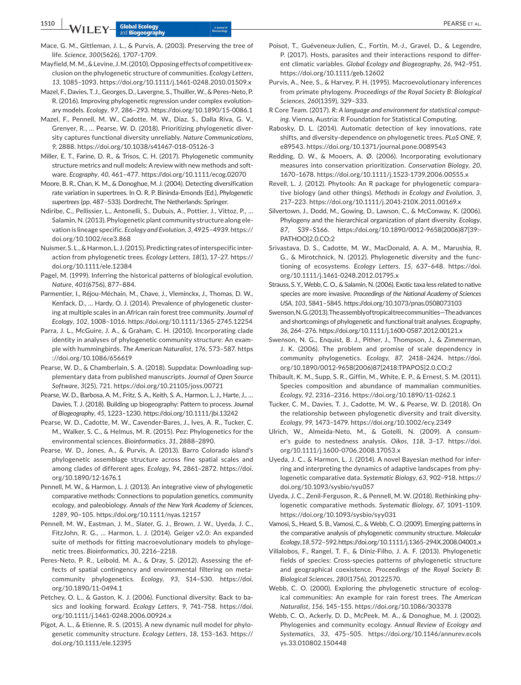Mace, G. M., Gittleman, J. L., & Purvis, A. (2003). Preserving the tree of life. *Science*, *300*(5626), 1707–1709.

Mayfield, M. M., & Levine, J. M. (2010). Opposing effects of competitive ex‐ clusion on the phylogenetic structure of communities. *Ecology Letters*, *13*, 1085–1093. <https://doi.org/10.1111/j.1461-0248.2010.01509.x>

Mazel, F., Davies, T. J., Georges, D., Lavergne, S., Thuiller, W., & Peres‐Neto, P. R. (2016). Improving phylogenetic regression under complex evolution‐ ary models. *Ecology*, *97*, 286–293. <https://doi.org/10.1890/15-0086.1>

Mazel, F., Pennell, M. W., Cadotte, M. W., Diaz, S., Dalla Riva, G. V., Grenyer, R., … Pearse, W. D. (2018). Prioritizing phylogenetic diver‐ sity captures functional diversity unreliably. *Nature Communications*, *9*, 2888. <https://doi.org/10.1038/s41467-018-05126-3>

Miller, E. T., Farine, D. R., & Trisos, C. H. (2017). Phylogenetic community structure metrics and null models: A review with new methods and soft‐ ware. *Ecography*, *40*, 461–477. <https://doi.org/10.1111/ecog.02070>

Moore, B. R., Chan, K. M., & Donoghue, M. J. (2004). Detecting diversification rate variation in supertrees. In O. R. P. Bininda-Emonds (Ed.), *Phylogenetic supertrees* (pp. 487–533). Dordrecht, The Netherlands: Springer.

Ndiribe, C., Pellissier, L., Antonelli, S., Dubuis, A., Pottier, J., Vittoz, P., … Salamin, N. (2013). Phylogenetic plant community structure along ele‐ vation is lineage specific. *Ecology and Evolution*, *3*, 4925–4939. [https://](https://doi.org/10.1002/ece3.868) [doi.org/10.1002/ece3.868](https://doi.org/10.1002/ece3.868)

Nuismer, S. L., & Harmon, L. J. (2015). Predicting rates of interspecific inter‐ action from phylogenetic trees. *Ecology Letters*, *18*(1), 17–27. [https://](https://doi.org/10.1111/ele.12384) [doi.org/10.1111/ele.12384](https://doi.org/10.1111/ele.12384)

Pagel, M. (1999). Inferring the historical patterns of biological evolution. *Nature*, *401*(6756), 877–884.

Parmentier, I., Réjou‐Méchain, M., Chave, J., Vleminckx, J., Thomas, D. W., Kenfack, D., … Hardy, O. J. (2014). Prevalence of phylogenetic cluster‐ ing at multiple scales in an African rain forest tree community. *Journal of Ecology*, *102*, 1008–1016. <https://doi.org/10.1111/1365-2745.12254>

Parra, J. L., McGuire, J. A., & Graham, C. H. (2010). Incorporating clade identity in analyses of phylogenetic community structure: An example with hummingbirds. *The American Naturalist*, *176*, 573–587. [https](https://doi.org/10.1086/656619) [://doi.org/10.1086/656619](https://doi.org/10.1086/656619)

Pearse, W. D., & Chamberlain, S. A. (2018). Suppdata: Downloading sup‐ plementary data from published manuscripts. *Journal of Open Source Software*, *3*(25), 721.<https://doi.org/10.21105/joss.00721>

Pearse, W. D., Barbosa, A. M., Fritz, S. A., Keith, S. A., Harmon, L. J., Harte, J., … Davies, T. J. (2018). Building up biogeography: Pattern to process. *Journal of Biogeography*, *45*, 1223–1230. <https://doi.org/10.1111/jbi.13242>

Pearse, W. D., Cadotte, M. W., Cavender‐Bares, J., Ives, A. R., Tucker, C. M., Walker, S. C., & Helmus, M. R. (2015). Pez: Phylogenetics for the environmental sciences. *Bioinformatics*, *31*, 2888–2890.

Pearse, W. D., Jones, A., & Purvis, A. (2013). Barro Colorado island's phylogenetic assemblage structure across fine spatial scales and among clades of different ages. *Ecology*, *94*, 2861–2872. [https://doi.](https://doi.org/10.1890/12-1676.1) [org/10.1890/12-1676.1](https://doi.org/10.1890/12-1676.1)

Pennell, M. W., & Harmon, L. J. (2013). An integrative view of phylogenetic comparative methods: Connections to population genetics, community ecology, and paleobiology. *Annals of the New York Academy of Sciences*, *1289*, 90–105.<https://doi.org/10.1111/nyas.12157>

Pennell, M. W., Eastman, J. M., Slater, G. J., Brown, J. W., Uyeda, J. C., FitzJohn, R. G., … Harmon, L. J. (2014). Geiger v2.0: An expanded suite of methods for fitting macroevolutionary models to phyloge‐ netic trees. *Bioinformatics*, *30*, 2216–2218.

Peres‐Neto, P. R., Leibold, M. A., & Dray, S. (2012). Assessing the ef‐ fects of spatial contingency and environmental filtering on meta‐ community phylogenetics. *Ecology*, *93*, S14–S30. [https://doi.](https://doi.org/10.1890/11-0494.1) [org/10.1890/11-0494.1](https://doi.org/10.1890/11-0494.1)

Petchey, O. L., & Gaston, K. J. (2006). Functional diversity: Back to ba‐ sics and looking forward. *Ecology Letters*, *9*, 741–758. [https://doi.](https://doi.org/10.1111/j.1461-0248.2006.00924.x) [org/10.1111/j.1461-0248.2006.00924.x](https://doi.org/10.1111/j.1461-0248.2006.00924.x)

Pigot, A. L., & Etienne, R. S. (2015). A new dynamic null model for phylo‐ genetic community structure. *Ecology Letters*, *18*, 153–163. [https://](https://doi.org/10.1111/ele.12395) [doi.org/10.1111/ele.12395](https://doi.org/10.1111/ele.12395)

Poisot, T., Guéveneux‐Julien, C., Fortin, M.‐J., Gravel, D., & Legendre, P. (2017). Hosts, parasites and their interactions respond to differ‐ ent climatic variables. *Global Ecology and Biogeography*, *26*, 942–951. <https://doi.org/10.1111/geb.12602>

Purvis, A., Nee, S., & Harvey, P. H. (1995). Macroevolutionary inferences from primate phylogeny. *Proceedings of the Royal Society B: Biological Sciences*, *260*(1359), 329–333.

R Core Team. (2017). *R: A language and environment for statistical comput‐ ing*. Vienna, Austria: R Foundation for Statistical Computing.

Rabosky, D. L. (2014). Automatic detection of key innovations, rate shifts, and diversity‐dependence on phylogenetic trees. *PLoS ONE*, *9*, e89543. <https://doi.org/10.1371/journal.pone.0089543>

Redding, D. W., & Mooers, A. Ø. (2006). Incorporating evolutionary measures into conservation prioritization. *Conservation Biology*, *20*, 1670–1678. <https://doi.org/10.1111/j.1523-1739.2006.00555.x>

Revell, L. J. (2012). Phytools: An R package for phylogenetic compara‐ tive biology (and other things). *Methods in Ecology and Evolution*, *3*, 217–223. <https://doi.org/10.1111/j.2041-210X.2011.00169.x>

Silvertown, J., Dodd, M., Gowing, D., Lawson, C., & McConway, K. (2006). Phylogeny and the hierarchical organization of plant diversity. *Ecology*, *87*, S39–S166. [https://doi.org/10.1890/0012-9658\(2006\)87\[39:](https://doi.org/10.1890/0012-9658(2006)87%5B39:PATHOO%5D2.0.CO;2)‐ [PATHOO\]2.0.CO;2](https://doi.org/10.1890/0012-9658(2006)87%5B39:PATHOO%5D2.0.CO;2)

Srivastava, D. S., Cadotte, M. W., MacDonald, A. A. M., Marushia, R. G., & Mirotchnick, N. (2012). Phylogenetic diversity and the func‐ tioning of ecosystems. *Ecology Letters*, *15*, 637–648. [https://doi.](https://doi.org/10.1111/j.1461-0248.2012.01795.x) [org/10.1111/j.1461-0248.2012.01795.x](https://doi.org/10.1111/j.1461-0248.2012.01795.x)

Strauss, S. Y., Webb, C. O., & Salamin, N. (2006). Exotic taxa less related to native species are more invasive. *Proceedings of the National Academy of Sciences USA*, *103*, 5841–5845. <https://doi.org/10.1073/pnas.0508073103>

Swenson,N.G.(2013).Theassemblyoftropicaltreecommunities—Theadvances and shortcomings of phylogenetic and functional trait analyses. *Ecography*, *36*, 264–276. <https://doi.org/10.1111/j.1600-0587.2012.00121.x>

Swenson, N. G., Enquist, B. J., Pither, J., Thompson, J., & Zimmerman, J. K. (2006). The problem and promise of scale dependency in community phylogenetics. *Ecology*, *87*, 2418–2424. [https://doi.](https://doi.org/10.1890/0012-9658(2006)87%5B2418:TPAPOS%5D2.0.CO;2) [org/10.1890/0012-9658\(2006\)87\[2418:TPAPOS\]2.0.CO;2](https://doi.org/10.1890/0012-9658(2006)87%5B2418:TPAPOS%5D2.0.CO;2)

Thibault, K. M., Supp, S. R., Giffin, M., White, E. P., & Ernest, S. M. (2011). Species composition and abundance of mammalian communities. *Ecology*, *92*, 2316–2316. <https://doi.org/10.1890/11-0262.1>

Tucker, C. M., Davies, T. J., Cadotte, M. W., & Pearse, W. D. (2018). On the relationship between phylogenetic diversity and trait diversity. *Ecology*, *99*, 1473–1479. <https://doi.org/10.1002/ecy.2349>

Ulrich, W., Almeida‐Neto, M., & Gotelli, N. (2009). A consum‐ er's guide to nestedness analysis. *Oikos*, *118*, 3–17. [https://doi.](https://doi.org/10.1111/j.1600-0706.2008.17053.x) [org/10.1111/j.1600-0706.2008.17053.x](https://doi.org/10.1111/j.1600-0706.2008.17053.x)

Uyeda, J. C., & Harmon, L. J. (2014). A novel Bayesian method for infer‐ ring and interpreting the dynamics of adaptive landscapes from phy‐ logenetic comparative data. *Systematic Biology*, *63*, 902–918. [https://](https://doi.org/10.1093/sysbio/syu057) [doi.org/10.1093/sysbio/syu057](https://doi.org/10.1093/sysbio/syu057)

Uyeda, J. C., Zenil‐Ferguson, R., & Pennell, M. W. (2018). Rethinking phy‐ logenetic comparative methods. *Systematic Biology*, *67*, 1091–1109. <https://doi.org/10.1093/sysbio/syy031>

Vamosi, S., Heard, S. B., Vamosi, C., & Webb, C. O. (2009). Emerging patterns in the comparative analysis of phylogenetic community structure. *Molecular Ecology*, *18*,572–592.<https://doi.org/10.1111/j.1365-294X.2008.04001.x>

Villalobos, F., Rangel, T. F., & Diniz‐Filho, J. A. F. (2013). Phylogenetic fields of species: Cross‐species patterns of phylogenetic structure and geographical coexistence. *Proceedings of the Royal Society B: Biological Sciences*, *280*(1756), 20122570.

Webb, C. O. (2000). Exploring the phylogenetic structure of ecological communities: An example for rain forest trees. *The American Naturalist*, *156*, 145–155. <https://doi.org/10.1086/303378>

Webb, C. O., Ackerly, D. D., McPeek, M. A., & Donoghue, M. J. (2002). Phylogenies and community ecology. *Annual Review of Ecology and Systematics*, *33*, 475–505. [https://doi.org/10.1146/annurev.ecols](https://doi.org/10.1146/annurev.ecolsys.33.010802.150448) [ys.33.010802.150448](https://doi.org/10.1146/annurev.ecolsys.33.010802.150448)